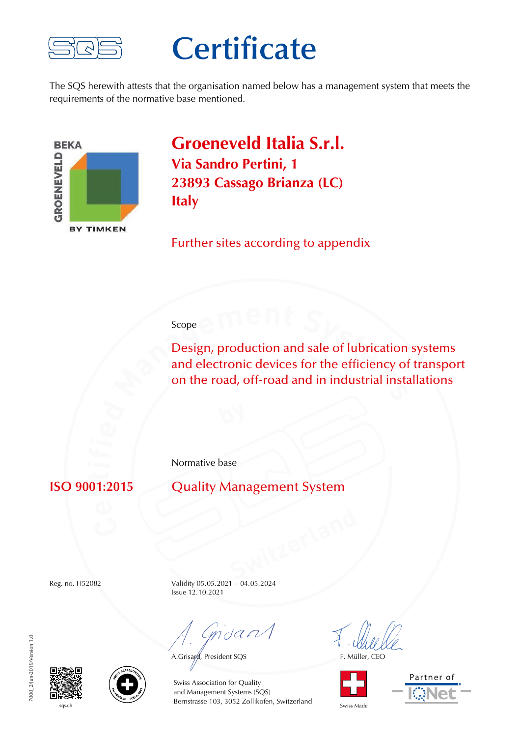

## **Certificate**

The SQS herewith attests that the organisation named below has a management system that meets the requirements of the normative base mentioned.



**Groeneveld Italia S.r.l. Via Sandro Pertini, 1 23893 Cassago Brianza (LC) Italy**

Further sites according to appendix

## Scope

Design, production and sale of lubrication systems and electronic devices for the efficiency of transport on the road, off-road and in industrial installations

Normative base

**ISO 9001:2015** Quality Management System

Reg. no. H52082 Validity 05.05.2021 – 04.05.2024 Issue 12.10.2021

mdan

A.Grisayd, President SQS F. Müller, CEO









sqs.ch Switzerland Swiss Made Bernstrasse 103, 3052 Zollikofen, Switzerland Swiss Made Swiss Association for Quality and Management Systems (SQS)